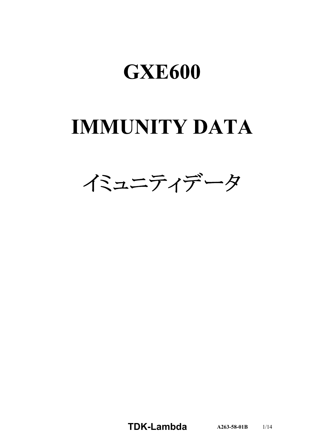# **IMMUNITY DATA**



**TDK-Lambda**  $A263-58-01B$  1/14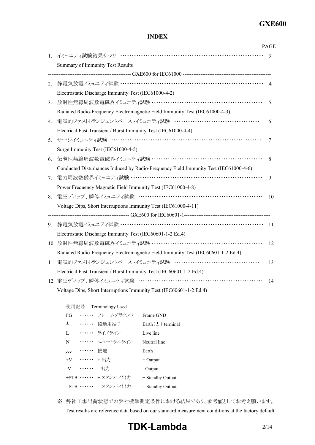#### **INDEX**

|    |                                                                                      | <b>PAGE</b>              |
|----|--------------------------------------------------------------------------------------|--------------------------|
| 1. | イミュニティ試験結果サマリ …………………………………………………………                                                 | $\mathbf{3}$             |
|    | Summary of Immunity Test Results                                                     |                          |
|    |                                                                                      |                          |
| 2. |                                                                                      | $\overline{\mathcal{A}}$ |
|    | Electrostatic Discharge Immunity Test (IEC61000-4-2)                                 |                          |
| 3. | 放射性無線周波数電磁界イミュニティ試験 ………………………………………………                                               | 5                        |
|    | Radiated Radio-Frequency Electromagnetic Field Immunity Test (IEC61000-4-3)          |                          |
| 4. | 電気的ファストトランジェントバーストイミュニティ試験 …………………………………                                             | 6                        |
|    | Electrical Fast Transient / Burst Immunity Test (IEC61000-4-4)                       |                          |
| 5. | サージイミュニティ試験 ……………………………………………………………                                                  | 7                        |
|    | Surge Immunity Test (IEC61000-4-5)                                                   |                          |
| 6. | 伝導性無線周波数電磁界イミュニティ試験 ………………………………………………                                               | 8                        |
|    | Conducted Disturbances Induced by Radio-Frequency Field Immunity Test (IEC61000-4-6) |                          |
| 7. | 電力周波数磁界イミュニティ試験 ………………………………………………………                                                | 9                        |
|    | Power Frequency Magnetic Field Immunity Test (IEC61000-4-8)                          |                          |
| 8. |                                                                                      | 10                       |
|    | Voltage Dips, Short Interruptions Immunity Test (IEC61000-4-11)                      |                          |
|    |                                                                                      |                          |
| 9. |                                                                                      | 11                       |
|    | Electrostatic Discharge Immunity Test (IEC60601-1-2 Ed.4)                            |                          |
|    | 10. 放射性無線周波数電磁界イミュニティ試験 ………………………………………………                                           | 12                       |
|    | Radiated Radio-Frequency Electromagnetic Field Immunity Test (IEC60601-1-2 Ed.4)     |                          |
|    | 11. 電気的ファストトランジェントバーストイミュニティ試験 …………………………………                                         | 13                       |
|    | Electrical Fast Transient / Burst Immunity Test (IEC60601-1-2 Ed.4)                  |                          |
|    | 12. 電圧ディップ、瞬停イミュニティ試験 ……………………………………………………                                           | 14                       |
|    | Voltage Dips, Short Interruptions Immunity Test (IEC60601-1-2 Ed.4)                  |                          |

使用記号 Terminology Used

| FG                        |            | ・・・・・・・ フレームグラウンド      | Frame GND                       |
|---------------------------|------------|------------------------|---------------------------------|
| $\div$                    |            | ・・・・・・ 接地用端子           | Earth $($ $\equiv$ $)$ terminal |
| L                         |            | ・・・・・・ ライブライン          | Live line                       |
| N                         |            | ・・・・・・ ニュートラルライン       | Neutral line                    |
| $\overline{\overline{H}}$ | …… 接地      |                        | Earth                           |
|                           | +V …… +出力  |                        | $+$ Output                      |
|                           | -V …… - 出力 |                        | - Output                        |
|                           |            | +STB …… +スタンバイ出力       | + Standby Output                |
|                           |            | - STB ・・・・・・ - スタンバイ出力 | - Standby Output                |

※ 弊社工場出荷状態での弊社標準測定条件における結果であり、参考値としてお考え願います。 Test results are reference data based on our standard measurement conditions at the factory default.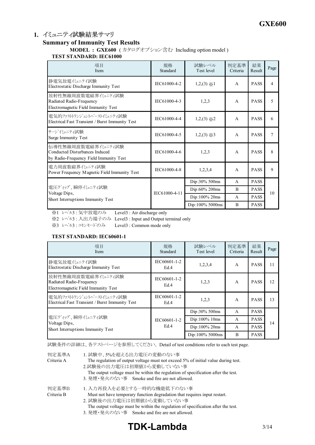# 1. イミュニティ試験結果サマリ

#### **Summary of Immunity Test Results**

**MODEL : GXE600** (カタログオプション含む Including option model) **TEST STANDARD: IEC61000**

| 項目<br>Item                                                                                             | 規格<br>Standard | 試験レベル<br>Test level | 判定基準<br>Criteria | 結果<br>Result | Page |
|--------------------------------------------------------------------------------------------------------|----------------|---------------------|------------------|--------------|------|
| 静電気放電イミュニテイ試験<br>Electrostatic Discharge Immunity Test                                                 | IEC61000-4-2   | $1,2,(3) \times 1$  | $\mathsf{A}$     | <b>PASS</b>  | 4    |
| 放射性無線周波数電磁界イミュニティ試験<br>Radiated Radio-Frequency<br>Electromagnetic Field Immunity Test                 | IEC61000-4-3   | 1,2,3               | $\mathsf{A}$     | <b>PASS</b>  | 5    |
| 雷気的ファストトランジェントバーストイミュニティ試験<br>Electrical Fast Transient / Burst Immunity Test                          | IEC61000-4-4   | $1,2,(3) \times 2$  | $\mathsf{A}$     | <b>PASS</b>  | 6    |
| サージイミュニティ試験<br>Surge Immunity Test                                                                     | IEC61000-4-5   | $1,2,(3) \times 3$  | $\mathsf{A}$     | <b>PASS</b>  | 7    |
| 伝導性無線周波数電磁界イミュニティ試験<br><b>Conducted Disturbances Induced</b><br>by Radio-Frequency Field Immunity Test | IEC61000-4-6   | 1,2,3               | $\overline{A}$   | <b>PASS</b>  | 8    |
| 電力周波数磁界イミュニティ試験<br>Power Frequency Magnetic Field Immunity Test                                        | IEC61000-4-8   | 1,2,3,4             | $\mathsf{A}$     | <b>PASS</b>  | 9    |
|                                                                                                        |                | Dip:30% 500ms       | $\mathsf{A}$     | <b>PASS</b>  |      |
| 電圧ディップ、瞬停イミュニティ試験<br>Voltage Dips,                                                                     | IEC61000-4-11  | Dip:60% 200ms       | B                | <b>PASS</b>  | 10   |
| Short Interruptions Immunity Test                                                                      |                | $Dip:100\%$ 20ms    | A                | <b>PASS</b>  |      |
|                                                                                                        |                | Dip:100% 5000ms     | B                | <b>PASS</b>  |      |

※1 レベル3 : 気中放電のみ Level3 : Air discharge only

※2 レベル3 : 入出力端子のみ Level3 : Input and Output terminal only

※3 レベル3 : コモンモードのみ Level3 : Common mode only

#### **TEST STANDARD: IEC60601-1**

| 項目<br>Item                                                                             | 規格<br>Standard       | 試験レベル<br>Test level | 判定基準<br>Criteria | 結果<br>Result | Page |  |
|----------------------------------------------------------------------------------------|----------------------|---------------------|------------------|--------------|------|--|
| 静電気放電イミュニテイ試験<br>Electrostatic Discharge Immunity Test                                 | IEC60601-1-2<br>Ed.4 | 1,2,3,4             | A                | <b>PASS</b>  | 11   |  |
| 放射性無線周波数電磁界イミュニティ試験<br>Radiated Radio-Frequency<br>Electromagnetic Field Immunity Test | IEC60601-1-2<br>Ed.4 | 1,2,3               | $\mathsf{A}$     | <b>PASS</b>  | 12   |  |
| 電気的ファストランジェントバーストイミュニティ試験<br>Electrical Fast Transient / Burst Immunity Test           | IEC60601-1-2<br>Ed.4 | 1,2,3               | A                | <b>PASS</b>  | 13   |  |
|                                                                                        |                      | Dip:30% 500ms       | $\mathsf{A}$     | <b>PASS</b>  |      |  |
| 電圧ディップ、瞬停イミュニティ試験<br>Voltage Dips,                                                     | IEC60601-1-2         | $Dip:100\%$ 10ms    | $\mathsf{A}$     | <b>PASS</b>  | 14   |  |
| Short Interruptions Immunity Test                                                      | Ed.4                 | $Dip:100\%$ 20ms    | $\mathsf{A}$     | <b>PASS</b>  |      |  |
|                                                                                        |                      | Dip:100% 5000ms     | B                | <b>PASS</b>  |      |  |

試験条件の詳細は、各テストページを参照してください。 Detail of test conditions refer to each test page.

| 判定基準A<br>Criteria A | 1. 試験中、5%を超える出力電圧の変動のない事<br>The regulation of output voltage must not exceed 5% of initial value during test.<br>2.試験後の出力電圧は初期値から変動していない事<br>The output voltage must be within the regulation of specification after the test.<br>3. 発煙·発火のない事 Smoke and fire are not allowed. |
|---------------------|--------------------------------------------------------------------------------------------------------------------------------------------------------------------------------------------------------------------------------------------------------------------------------|
| 判定基準B<br>Criteria B | 1. 入力再投入を必要とする一時的な機能低下のない事<br>Must not have temporary function degradation that requires input restart.<br>2. 試験後の出力電圧は初期値から変動していない事<br>The output voltage must be within the regulation of specification after the test.<br>3. 発煙・発火のない事 Smoke and fire are not allowed.      |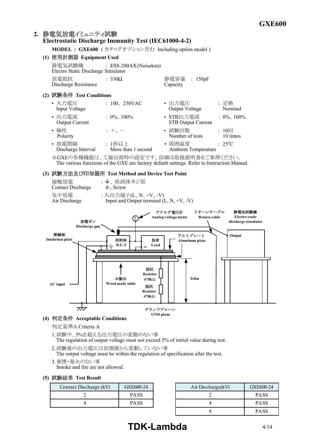# 2. 静電気放電イミュニティ試験

## **Electrostatic Discharge Immunity Test (IEC6100042)**

**MODEL : GXE600** (カタログオプション含む Including option model)

#### **(1) Equipment Used**

| 静電気試験機<br>Electro Static Discharge Simulator | : ESS-200AX(Noiseken) |                          |  |
|----------------------------------------------|-----------------------|--------------------------|--|
| 放雷抵抗<br>Discharge Resistance                 | $: 330\Omega$         | 静電容量 : 150pF<br>Capacity |  |

#### **(2) Test Conditions**

| • 入力電圧<br>Input Voltage         | $: 100, 230$ VAC             | • 出力電圧<br>Output Voltage               | : 定格<br>Nominal        |
|---------------------------------|------------------------------|----------------------------------------|------------------------|
| • 出力電流<br><b>Output Current</b> | $: 0\%$ , 100%               | • STB出力電流<br><b>STB Output Current</b> | $: 0\%$ , 100%         |
| • 極性<br>Polarity                | $: +$ , $-$                  | • 試験回数<br>Number of tests              | : $10\Box$<br>10 times |
| • 放電間隔<br>Discharge Interval    | : 1秒以上<br>More than 1 second | • 周囲温度<br><b>Ambient Temperature</b>   | $: 25^{\circ}C$        |
|                                 |                              |                                        |                        |

※GXEの各種機能は、工場出荷時の設定です。詳細は取扱説明書をご参照ください。 The various functions of the GXE are factory default settings. Refer to Instruction Manual.

#### **(3) Test Method and Device Test Point**

| 接触放電              | : 一、供試体ネジ部                                 |
|-------------------|--------------------------------------------|
| Contact Discharge | $\pm$ , Screw                              |
| 気中放電              | : 入出力端子(L、N、+V、-V)                         |
| Air Discharge     | Input and Output terminal $(L, N, +V, -V)$ |



#### **(4) Acceptable Conditions**

判定基準A Criteria A

- 1.試験中、5%を超える出力電圧の変動のない事 The regulation of output voltage must not exceed 5% of initial value during test.
- 2.試験後の出力電圧は初期値から変動していない事 The output voltage must be within the regulation of specification after the test.
- 3.発煙・発火のない事 Smoke and fire are not allowed.

#### **(5) Test Result**

| Contact Discharge (kV) | GXE600-24   | Air Discharge(kV) | GXE600-24   |
|------------------------|-------------|-------------------|-------------|
|                        | <b>PASS</b> |                   | <b>PASS</b> |
|                        | <b>PASS</b> |                   | <b>PASS</b> |

| scharge (kV) | GXE600-24   | Air Discharge(kV) | GXE600-24   |
|--------------|-------------|-------------------|-------------|
| ∠            | <b>PASS</b> |                   | <b>PASS</b> |
| 4            | <b>PASS</b> |                   | <b>PASS</b> |
|              |             |                   | <b>PASS</b> |

# **TDK-Lambda** 4/14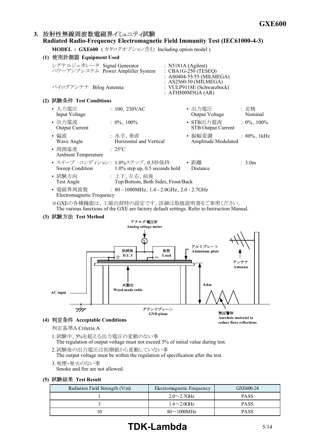# 3. 放射性無線周波数電磁界イミュニティ試験 **Radiated Radio-Frequency Electromagnetic Field Immunity Test (IEC61000-4-3)**

**MODEL : GXE600** (カタログオプション含む Including option model)

| (1) 使用計測器 Equipment Used                                                                   |                                                                                          |                    |                                                                                                                              |                 |
|--------------------------------------------------------------------------------------------|------------------------------------------------------------------------------------------|--------------------|------------------------------------------------------------------------------------------------------------------------------|-----------------|
| シグナルジェネレータ Signal Generator<br>パワーアンプシステム Power Amplifier System<br>バイログアンテナ Bilog Antenna |                                                                                          | : N5181A (Agilent) | : CBA1G-250 (TESEQ)<br>: AS0404-55/55 (MILMEGA)<br>: AS2560-50 (MILMEGA)<br>: VULP9118E (Schwarzbeck)<br>: ATH800M5GA $(AR)$ |                 |
| (2) 試験条件 Test Conditions                                                                   |                                                                                          |                    |                                                                                                                              |                 |
| • 入力電圧<br>Input Voltage                                                                    | $: 100, 230$ VAC                                                                         |                    | • 出力電圧<br>Output Voltage                                                                                                     | : 定格<br>Nominal |
| • 出力電流<br><b>Output Current</b>                                                            | $: 0\%$ , 100%                                                                           |                    | • STB出力電流<br><b>STB Output Current</b>                                                                                       | $: 0\%$ , 100%  |
| • 偏波<br>Wave Angle                                                                         | : 水平、垂直<br>Horizontal and Vertical                                                       |                    | • 振幅変調 アンドル あんしょう<br>Amplitude Modulated                                                                                     | : $80\%$ , 1kHz |
| • 周囲温度<br><b>Ambient Temperature</b>                                                       | $: 25^{\circ}C$                                                                          |                    |                                                                                                                              |                 |
|                                                                                            | • スイープ・コンディション: 1.0%ステップ、0.5秒保持 – • 距離<br>Sweep Condition 1.0% step up, 0.5 seconds hold |                    | Distance                                                                                                                     | : 3.0m          |
| • 試験方向<br>Test Angle                                                                       | : 上下、左右、前後<br>Top/Bottom, Both Sides, Front/Back                                         |                    |                                                                                                                              |                 |
| • 電磁界周波数<br>Electromagnetic Frequency                                                      | $: 80 - 1000 MHz$ , 1.4 - 2.0GHz, 2.0 - 2.7GHz                                           |                    |                                                                                                                              |                 |
|                                                                                            | ※GXEの各種機能は、工場出荷時の設定です。詳細は取扱説明書をご参照ください。                                                  |                    |                                                                                                                              |                 |

The various functions of the GXE are factory default settings. Refer to Instruction Manual.

#### **(3) Test Method**



#### **(4) Acceptable Conditions**

判定基準A Criteria A

- 1.試験中、5%を超える出力電圧の変動のない事 The regulation of output voltage must not exceed 5% of initial value during test.
- 2.試験後の出力電圧は初期値から変動していない事 The output voltage must be within the regulation of specification after the test.

3.発煙・発火のない事 Smoke and fire are not allowed.

#### **(5) Test Result**

| Radiation Field Strength (V/m) | Electromagnetic Frequency | GXE600-24   |
|--------------------------------|---------------------------|-------------|
|                                | $2.0 \sim 2.7$ GHz        | <b>PASS</b> |
|                                | $1.4\sim2.0$ GHz          | <b>PASS</b> |
| 10                             | $80 \sim 1000 \text{MHz}$ | <b>PASS</b> |

# **TDK-Lambda** 5/14

**reduce floor reflections**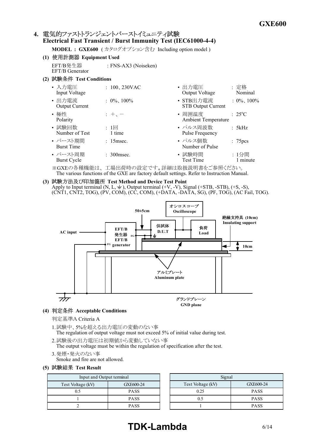### 4. 電気的ファストトランジェントバーストイミュニティ試験 **Electrical Fast Transient / Burst Immunity Test (IEC6100044)**

**MODEL : GXE600** (カタログオプション含む Including option model)

- **(1) Equipment Used** EFT/B発生器 : FNSAX3 (Noiseken) EFT/B Generator
- **(2) Test Conditions**

| • 入力電圧                          | $: 100, 230$ VAC | ・出力電圧                                  | : 定格                 |
|---------------------------------|------------------|----------------------------------------|----------------------|
| Input Voltage                   |                  | Output Voltage                         | Nominal              |
| • 出力電流<br><b>Output Current</b> | $: 0\%$ , 100%   | • STB出力電流<br><b>STB Output Current</b> | $: 0\%$ , 100%       |
| • 極性<br>Polarity                | $: +$            | • 周囲温度<br><b>Ambient Temperature</b>   | $: 25^{\circ}C$      |
| • 試験回数                          | : 1回             | • パルス周波数                               | : 5kHz               |
| Number of Test                  | 1 time           | Pulse Frequency                        |                      |
| • バースト期間<br><b>Burst Time</b>   | $: 15$ msec.     | • パルス個数<br>Number of Pulse             | : 75 <sub>pres</sub> |
| • バースト周期                        | $: 300$ msec.    | • 試験時間                                 | : 1分間                |
| <b>Burst Cycle</b>              |                  | <b>Test Time</b>                       | 1 minute             |

※GXEの各種機能は、工場出荷時の設定です。詳細は取扱説明書をご参照ください。 The various functions of the GXE are factory default settings. Refer to Instruction Manual.

**(3) Test Method and Device Test Point** Apply to Input terminal  $(N, L, \frac{1}{\epsilon})$ , Output terminal  $(+V, -V)$ , Signal  $(+STB, -STB)$ ,  $(+S, -S)$ , (CNT1, CNT2, TOG), (PV, COM), (CC, COM), (+DATA, DATA, SG), (PF, TOG), (AC Fail, TOG).



**(4) Acceptable Conditions**

判定基準A Criteria A

- 1.試験中、5%を超える出力電圧の変動のない事 The regulation of output voltage must not exceed 5% of initial value during test.
- 2.試験後の出力電圧は初期値から変動していない事 The output voltage must be within the regulation of specification after the test.
- 3.発煙・発火のない事
	- Smoke and fire are not allowed.

#### **(5) Test Result**

| Input and Output terminal      |             |  |  |  |
|--------------------------------|-------------|--|--|--|
| Test Voltage (kV)<br>GXE600-24 |             |  |  |  |
| 0.5                            | <b>PASS</b> |  |  |  |
|                                | <b>PASS</b> |  |  |  |
|                                | <b>PASS</b> |  |  |  |

| Signal            |             |  |  |  |
|-------------------|-------------|--|--|--|
| Test Voltage (kV) | GXE600-24   |  |  |  |
| 0.25              | <b>PASS</b> |  |  |  |
| 0.5               | <b>PASS</b> |  |  |  |
|                   | <b>PASS</b> |  |  |  |

# **TDK-Lambda** 6/14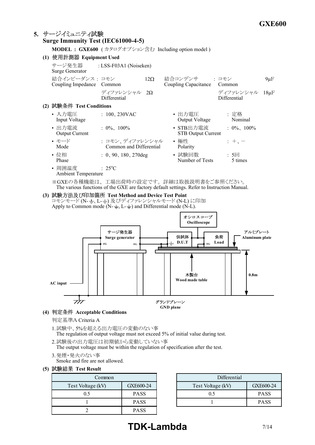#### **5. Surge Immunity Test (IEC61000-4-5) MODEL : GXE600** (カタログオプション含む Including option model) **(1) Equipment Used** サージ発生器 : LSSF03A1 (Noiseken) Surge Generator 結合インピーダンス : コモン 12 結合コンデンサ : コモン 9μF Coupling Impedance Common Coupling Capacitance Common ディファレンシャル 2Ω ディファレンシャル 18μF Differential Differential **(2) Test Conditions** • 入力電圧 : 100、230VAC • 出力電圧 : 定格 Input Voltage Output Voltage Nominal • 出力電流 : 0%、 100% • STB出力電流 : 0%、 100% STB Output Current • モード : コモン、ディファレンシャル • 極性 : +、- Common and Differential • 位相 : 0、90、180、270deg • 試験回数 : 5回<br>Phase : 5 times Number of Tests • 周囲温度  $\qquad$  : 25°C Ambient Temperature ※GXEの各種機能は、工場出荷時の設定です。詳細は取扱説明書をご参照ください。 The various functions of the GXE are factory default settings. Refer to Instruction Manual. **(3) Test Method and Device Test Point** コモンモード (N-÷、L-≐) 及びディファレンシャルモード (N-L) に印加 Apply to Common mode ( $N - \pm$ , L- $\pm$ ) and Differential mode (N-L). アルミプレート **Aluminum plate** サージ発生器 **Surge generator** 負荷 **Load** 供試体  $\mathbf{D.U.T}$   $\mathbf{F}$ オシロスコープ **Oscilloscope**





判定基準A Criteria A

- 1.試験中、5%を超える出力電圧の変動のない事 The regulation of output voltage must not exceed 5% of initial value during test.
- 2.試験後の出力電圧は初期値から変動していない事 The output voltage must be within the regulation of specification after the test.
- 3.発煙・発火のない事
	- Smoke and fire are not allowed.

#### **(5) Test Result**

| Common.           |             | Differential      |
|-------------------|-------------|-------------------|
| Test Voltage (kV) | GXE600-24   | Test Voltage (kV) |
| ).5               | <b>PASS</b> |                   |
|                   | <b>PASS</b> |                   |
|                   | <b>PASS</b> |                   |

| Common            |             | Differential      |             |
|-------------------|-------------|-------------------|-------------|
| Test Voltage (kV) | GXE600-24   | Test Voltage (kV) | GXE600-24   |
|                   | <b>PASS</b> |                   | <b>PASS</b> |
|                   | <b>PASS</b> |                   | <b>PASS</b> |
|                   |             |                   |             |

# **TDK-Lambda** 7/14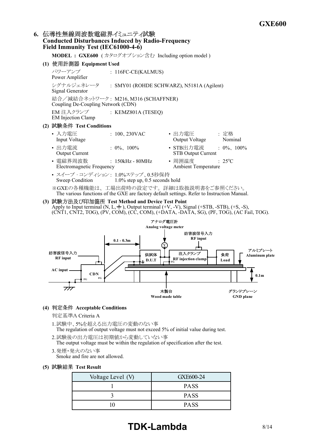## 6. 伝導性無線周波数電磁界イミュニティ試験 **Conducted Disturbances Induced by Radio-Frequency Field Immunity Test (IEC61000-4-6)**

**MODEL : GXE600** (カタログオプション含む Including option model)

**(1) Equipment Used**

パワーアンプ : 116FC-CE(KALMUS) Power Amplifier シグナルジェネレータ : SMY01 (ROHDE SCHWARZ), N5181A (Agilent) Signal Generator 結合/減結合ネットワーク : M216, M316 (SCHAFFNER) Coupling De-Coupling Network (CDN) EM 注入クランプ : KEMZ801A (TESEQ) EM Injection Clamp

- **(2) Test Conditions**
	- 入力電圧 : 100、230VAC • 出力電圧 : 定格 Input Voltage Output Voltage Nominal • 出力電流 : 0%、 100% • STB出力電流 : 0%、 100% STB Output Current • 電磁界周波数 : 150kHz 80MHz • 周囲温度 : 25<sup>o</sup>C Electromagnetic Frequency
	- スイープ・コンディション: 1.0%ステップ、0.5秒保持<br>Sweep Condition 1.0% step up, 0.5 seconds  $1.0\%$  step up, 0.5 seconds hold

※GXEの各種機能は、工場出荷時の設定です。詳細は取扱説明書をご参照ください。 The various functions of the GXE are factory default settings. Refer to Instruction Manual.

**(3) Test Method and Device Test Point** Apply to Input terminal  $(N, L, \frac{1}{n})$ , Output terminal  $(+V, -V)$ , Signal  $(+STB, -STB)$ ,  $(+S, -S)$ , (CNT1, CNT2, TOG), (PV, COM), (CC, COM), (+DATA, DATA, SG), (PF, TOG), (AC Fail, TOG).



#### **(4) Acceptable Conditions**

判定基準A Criteria A

- 1.試験中、5%を超える出力電圧の変動のない事 The regulation of output voltage must not exceed 5% of initial value during test.
- 2.試験後の出力電圧は初期値から変動していない事 The output voltage must be within the regulation of specification after the test.
- 3.発煙・発火のない事

Smoke and fire are not allowed.

#### **(5) Test Result**

| Voltage Level (V) | GXE600-24   |
|-------------------|-------------|
|                   | <b>PASS</b> |
|                   | <b>PASS</b> |
|                   | <b>PASS</b> |

# **TDK-Lambda** 8/14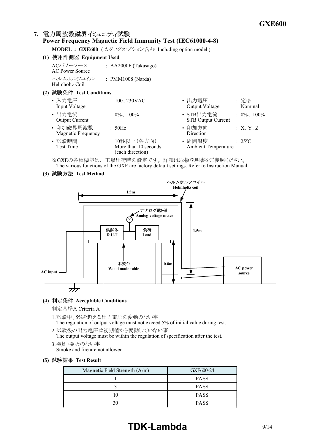# 7. 電力周波数磁界イミュニティ試験

# **Power Frequency Magnetic Field Immunity Test (IEC6100048)**

**MODEL : GXE600** ( カタログオプション含む Including option model )

|                          |                                 | IN OPEN : GALOVO ( $N \neq \emptyset$ ) $\vee$ a $\vee$ $\vee$ a $\vee$ $\Box$ including option model ( |                                        |                 |
|--------------------------|---------------------------------|---------------------------------------------------------------------------------------------------------|----------------------------------------|-----------------|
| (1) 使用計測器 Equipment Used |                                 |                                                                                                         |                                        |                 |
|                          | ACパワーソース<br>AC Power Source     | : AA2000F (Takasago)                                                                                    |                                        |                 |
|                          | ヘルムホルツコイル<br>Helmholtz Coil     | : PMM1008 (Narda)                                                                                       |                                        |                 |
|                          | (2) 試験条件 Test Conditions        |                                                                                                         |                                        |                 |
|                          | • 入力雷圧<br>Input Voltage         | $: 100, 230$ VAC                                                                                        | • 出力電圧<br>Output Voltage               | : 定格<br>Nominal |
|                          | • 出力雷流<br><b>Output Current</b> | $: 0\%$ , 100%                                                                                          | • STB出力電流<br><b>STB Output Current</b> | $: 0\%$ , 100%  |
|                          | • 印加磁界周波数<br>Magnetic Frequency | : 50Hz                                                                                                  | • 印加方向<br>Direction                    | :X, Y, Z        |
|                          | • 試験時間<br>Test Time             | : 10秒以上(各方向)<br>More than 10 seconds<br>(each direction)                                                | • 周囲温度<br><b>Ambient Temperature</b>   | $: 25^{\circ}C$ |

※GXEの各種機能は、工場出荷時の設定です。詳細は取扱説明書をご参照ください。 The various functions of the GXE are factory default settings. Refer to Instruction Manual.

**(3) Test Method**



#### **(4) Acceptable Conditions**

判定基準A Criteria A

- 1.試験中、5%を超える出力電圧の変動のない事 The regulation of output voltage must not exceed 5% of initial value during test.
- 2.試験後の出力電圧は初期値から変動していない事 The output voltage must be within the regulation of specification after the test.
- 3.発煙・発火のない事 Smoke and fire are not allowed.
- **(5) Test Result**

| Magnetic Field Strength (A/m) | GXE600-24   |
|-------------------------------|-------------|
|                               | <b>PASS</b> |
|                               | <b>PASS</b> |
|                               | <b>PASS</b> |
|                               | <b>PASS</b> |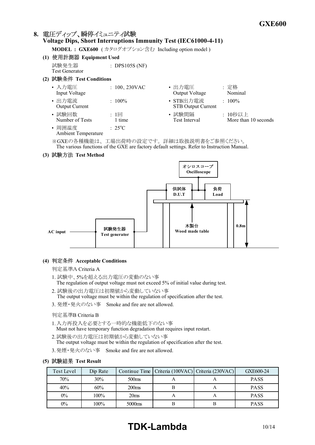# 8. 電圧ディップ、瞬停イミュニティ試験 **Voltage Dips, Short Interruptions Immunity Test (IEC61000-4-11)**

**MODEL : GXE600** (カタログオプション含む Including option model)

- **(1) Equipment Used** 試験発生器 : DPS105S (NF) Test Generator
- **(2) Test Conditions**

| • 入力電圧<br>Input Voltage              | $: 100, 230$ VAC | • 出力電圧<br>Output Voltage                                                                                                                        | :定格<br>Nominal                  |
|--------------------------------------|------------------|-------------------------------------------------------------------------------------------------------------------------------------------------|---------------------------------|
| • 出力電流<br><b>Output Current</b>      | $: 100\%$        | • STB出力電流<br><b>STB Output Current</b>                                                                                                          | $: 100\%$                       |
| • 試験回数<br>Number of Tests            | : 1<br>1 time    | • 試験間隔<br>Test Interval                                                                                                                         | : 10秒以上<br>More than 10 seconds |
| • 周囲温度<br><b>Ambient Temperature</b> | $\div$ 2.5°C     |                                                                                                                                                 |                                 |
|                                      |                  | $\ell$ . A set $\ell$ is the set $\ell$ in the set $\ell$ in the set $\ell$ is a set $\ell$ in the set $\ell$ is a set $\ell$ in the set $\ell$ |                                 |

※GXEの各種機能は、工場出荷時の設定です。詳細は取扱説明書をご参照ください。 The various functions of the GXE are factory default settings. Refer to Instruction Manual.

**(3) Test Method**



#### **(4) Acceptable Conditions**

#### 判定基準A Criteria A

- 1. 試験中、5%を超える出力電圧の変動のない事 The regulation of output voltage must not exceed 5% of initial value during test.
- 2. 試験後の出力電圧は初期値から変動していない事 The output voltage must be within the regulation of specification after the test.
- 3. 発煙・発火のない事 Smoke and fire are not allowed.

#### 判定基準B Criteria B

- 1.入力再投入を必要とする一時的な機能低下のない事 Must not have temporary function degradation that requires input restart.
- 2.試験後の出力電圧は初期値から変動していない事 The output voltage must be within the regulation of specification after the test.
- 3.発煙・発火のない事 Smoke and fire are not allowed.

#### **(5) Test Result**

| Test Level | Dip Rate |                    | Continue Time   Criteria (100VAC)   Criteria (230VAC) | GXE600-24   |
|------------|----------|--------------------|-------------------------------------------------------|-------------|
| 70%        | 30%      | 500 <sub>ms</sub>  |                                                       | <b>PASS</b> |
| 40%        | 60%      | 200 <sub>ms</sub>  |                                                       | <b>PASS</b> |
| $0\%$      | 100%     | 20 <sub>ms</sub>   |                                                       | <b>PASS</b> |
| $0\%$      | 100%     | 5000 <sub>ms</sub> |                                                       | <b>PASS</b> |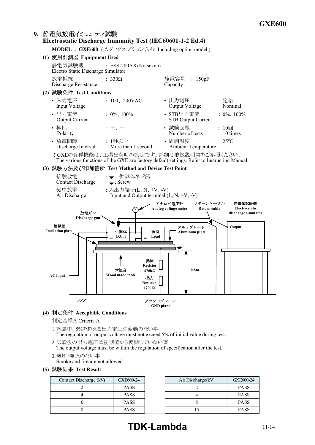#### 9. 静電気放電イミュニティ試験 **Electrostatic Discharge Immunity Test (IEC60601-1-2 Ed.4)**

**MODEL : GXE600** (カタログオプション含む Including option model)



**(4) Acceptable Conditions**

- 1.試験中、5%を超える出力電圧の変動のない事 The regulation of output voltage must not exceed 5% of initial value during test.
- 2.試験後の出力電圧は初期値から変動していない事 The output voltage must be within the regulation of specification after the test.
- 3.発煙・発火のない事
	- Smoke and fire are not allowed.
- **(5) Test Result**

| Contact Discharge (kV) | GXE600-24   | Air Discharge $(kV)$ | GXE600-24   |
|------------------------|-------------|----------------------|-------------|
|                        | <b>PASS</b> |                      | <b>PASS</b> |
|                        | <b>PASS</b> |                      | <b>PASS</b> |
|                        | <b>PASS</b> |                      | <b>PASS</b> |
|                        | <b>PASS</b> |                      | <b>PASS</b> |

# **TDK-Lambda** 11/14

判定基準A Criteria A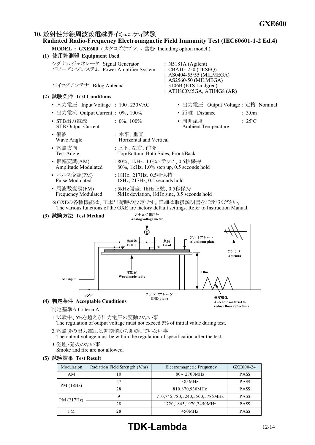## 10. 放射性無線周波数雷磁界イミュニティ試験

# **Radiated Radio-Frequency Electromagnetic Field Immunity Test (IEC60601-1-2 Ed.4)**

**MODEL : GXE600** (カタログオプション含む Including option model)





判定基準A Criteria A

- 1.試験中、5%を超える出力電圧の変動のない事 The regulation of output voltage must not exceed 5% of initial value during test.
- 2.試験後の出力電圧は初期値から変動していない事

The output voltage must be within the regulation of specification after the test.

- 3.発煙・発火のない事
	- Smoke and fire are not allowed.
- **(5) Test Result**

| Modulation | Radiation Field Strength (V/m) | Electromagnetic Frequency     | GXE600-24   |
|------------|--------------------------------|-------------------------------|-------------|
| AM         | 10                             | $80\sim$ 2700MHz              | <b>PASS</b> |
| PM(18Hz)   | 2.7                            | 385MHz                        | <b>PASS</b> |
|            | 28                             | 810,870,930MHz                | <b>PASS</b> |
| PM(217Hz)  | Q                              | 710,745,780,5240,5500,5785MHz | <b>PASS</b> |
|            | 28                             | 1720,1845,1970,2450MHz        | <b>PASS</b> |
| <b>FM</b>  | 28                             | 450MHz                        | <b>PASS</b> |

**reduce floor reflections**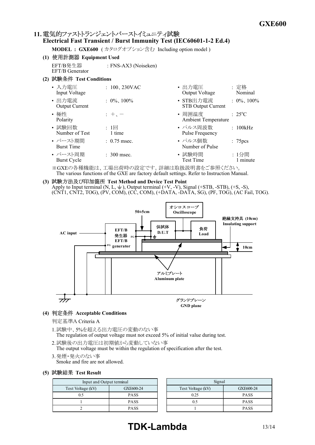## 11. 電気的ファストトランジェントバーストイミュニティ試験 **Electrical Fast Transient / Burst Immunity Test (IEC60601-1-2 Ed.4)**

**MODEL : GXE600** (カタログオプション含む Including option model)

- **(1) Equipment Used** EFT/B発生器 : FNSAX3 (Noiseken) EFT/B Generator
- **(2) Test Conditions**

| • 入力電圧<br>Input Voltage         | $: 100, 230$ VAC       | : 定格<br>• 出力電圧<br>Output Voltage       | Nominal             |
|---------------------------------|------------------------|----------------------------------------|---------------------|
| • 出力電流<br><b>Output Current</b> | $: 0\%$ , 100%         | • STB出力電流<br><b>STB Output Current</b> | $: 0\%$ , 100%      |
| • 極性<br>Polarity                | $: +$                  | • 周囲温度<br><b>Ambient Temperature</b>   | $: 25^{\circ}C$     |
| • 試験回数<br>Number of Test        | : 1回<br>1 time         | • パルス周波数<br>Pulse Frequency            | : 100kHz            |
| • バースト期間<br><b>Burst Time</b>   | $: 0.75$ msec.         | • パルス個数<br>Number of Pulse             | : 75 <sub>pcs</sub> |
| • バースト周期<br><b>Burst Cycle</b>  | $\therefore$ 300 msec. | • 試験時間<br><b>Test Time</b>             | :1分間<br>1 minute    |

※GXEの各種機能は、工場出荷時の設定です。詳細は取扱説明書をご参照ください。 The various functions of the GXE are factory default settings. Refer to Instruction Manual.

**(3) Test Method and Device Test Point** Apply to Input terminal  $(N, L, \pm)$ , Output terminal  $(+V, -V)$ , Signal  $(+STB, -STB)$ ,  $(+S, -S)$ , (CNT1, CNT2, TOG), (PV, COM), (CC, COM), (+DATA, DATA, SG), (PF, TOG), (AC Fail, TOG).



**(4) Acceptable Conditions**

- 1.試験中、5%を超える出力電圧の変動のない事 The regulation of output voltage must not exceed 5% of initial value during test.
- 2.試験後の出力電圧は初期値から変動していない事 The output voltage must be within the regulation of specification after the test.
- 3.発煙・発火のない事 Smoke and fire are not allowed.
- **(5) Test Result**

| Input and Output terminal |             |  |  |
|---------------------------|-------------|--|--|
| Test Voltage (kV)         | GXE600-24   |  |  |
| 0.5                       | <b>PASS</b> |  |  |
|                           | <b>PASS</b> |  |  |
|                           | <b>PASS</b> |  |  |

| Signal            |             |  |  |  |
|-------------------|-------------|--|--|--|
| Test Voltage (kV) | GXE600-24   |  |  |  |
| 0.25              | <b>PASS</b> |  |  |  |
| 0.5               | <b>PASS</b> |  |  |  |
|                   | <b>PASS</b> |  |  |  |

# **TDK-Lambda** 13/14

判定基準A Criteria A